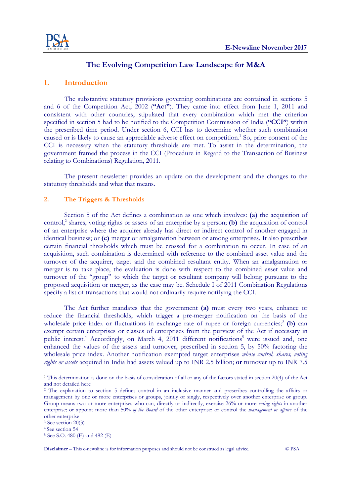

### The Evolving Competition Law Landscape for M&A The Evolving Competition Law Landscape for M&A

#### 1. Introduction

The substantive statutory provisions governing combinations are contained in sections 5 The substantive statutory provisions governing combinations are contained in sections 5 and 6 of the Competition Act, 2002 ("Act"). They came into effect from June 1, 2011 and consistent with other countries, stipulated that every combination which met the criterion consistent with other countries, stipulated that every combination which met the criterion specified in section 5 had to be notified to the Competition Commission of India ("CCI") within consistent with other countries, stipulated that every combination which met the criterion specified in section 5 had to be notified to the Competition Commission of India ("CCI") within the prescribed time period. Under s caused or is likely to cause an appreciable adverse effect on competition.<sup>1</sup> So, prior consent of the CCI is necessary when the statutory thresholds are met. To assist in the determination, the government framed the process in the CCI (Procedure in Regard to the Transaction of Business government framed the process in the CCI (Procedure in Regard to the Transaction of Business relating to Combinations) Regulation, 2011.

The present newsletter provides an update on the development and the changes to the statutory thresholds and what that means. the CCI (Procedure in Regard to the Transaction of Business<br>ulation, 2011.<br>The provides an update on the development and the changes to the<br>that means. The present newsletter provides an update on the development and the changes to the

#### 2. The Triggers & Thresholds & Thresholds

Section 5 of the Act defines a combination as one which involves: Section 5 of the Act defines a combination as one which involves: (a) the acquisition of Section 5 of the Act defines a combination as one which involves: (a) the acquisition of control control,<sup>2</sup> shares, voting rights or assets of an enterprise by a person; (b) the acquisition of control of an enterprise where the acquirer already has direct or indirect control of another engaged in identical business; or (c) merger or amalgamation between or among enterprises. It also prescribes certain financial thresholds whi ch must be crossed for a combination to occur. In case of an acquisition, such combination is determined with reference to the combined asset value and the acquisition, such combination is determined with reference to the combined asset value and the turnover of the acquirer, target and the combined resultant entity. When an amalgamation or merger is to take place, the evaluation is done with respect to the combined asset value and turnover of the "group" to which the target or resultant company will belong pursuant to the turnover of the "group" to which the target or resultant company will belong pursuant to the proposed acquisition or merger, as the case may be. Schedule I of 2011 Combina proposed acquisition or merger, as the case may be. Schedule I of 2011 Combination Regulations specify a list of transactions that would not ordinarily require notifying the CCI. specify a list of transactions that would not ordinarily require notifying the CCI. ed acquisition or merger, as the case may be. Schedule I of 2011 Combination Regulations<br>a list of transactions that would not ordinarily require notifying the CCI.<br>The Act further mandates that the government (a) must eve **any Landscape for M&A**<br>
ing combinations are contained in sections 5<br>
sy came into effect from June 1, 2011 and<br>
very combination which met the citerion<br>
has to determine whether such combination<br>
fect on competition.<sup>1</sup> the acquirer already has direct or indirect control of another engaged in<br>merger or amalgamation between or among enterprises. It also prescribes<br>blds which must be crossed for a combination to occur. In case of an on, such combination is determined with reference to the combined asset value and the of the acquirer, target and the combined resultant entity. When an amalgamation or s to take place, the evaluation is done with respect merger or amalgamation between or among enterprises. It also prescribes turnover of the acquirer, target and the combined resultant entity. When an amalgamation or

reduce the financial thresholds, which trigger a pre-merger notification on the basis of the wholesale price index or fluctuations in exchange rate of rupee or foreign currencies;<sup>3</sup> (b) can wholesale price index or fluctuations in exchange rate of rupee or foreign currencies;<sup>3</sup> (b) can exempt certain enterprises or classes of enterprises from the purview of the Act if necessary in public interest.<sup>4</sup> Accordingly, on March 4, 2011 different notifications<sup>5</sup> were issued and, one enhanced the values of the assets and turnover, prescribed in section 5, by 50% factoring the enhanced the values of the assets and turnover, prescribed in section 5, by 50% factoring the enhanced the values of the assets and turnover, prescribed in section 5, by 50% factoring the wholesale price index. Another notification exempted target enterprises *whose control, shares, voting* rights or assets acquired in India had assets valued up to INR 2.5 billion; or turnover up to INR 7.5

-

 $\overline{a}$ 

<sup>&</sup>lt;sup>1</sup> This determination is done on the basis of consideration of all or any of the factors stated in section 20(4) of the Act and not detailed here

<sup>&</sup>lt;sup>2</sup> The explanation to section 5 defines control in an inclusive manner and prescribes controlling the affairs or management by one or more enterprises or groups, jointly or singly, respectively over another enterprise or group. Group means two or more enterprises who can, directly or indirectly, exercise 26% or more voting rights in another enterprise; or appoint more than 50% of the Board of the other enterprise; or control the management or affairs of the other enterprise ination is done on the basis of consideration of all or any of the factors stated in seed here<br>ed here<br>ation to section 5 defines control in an inclusive manner and prescribes con<br>by one or more enterprises or groups, join management by one or more enterprises or groups, jointly or singly, respectively over another enterprise or group.

<sup>3</sup> See section 20(3)

<sup>4</sup>See section 54

<sup>5</sup> See S.O. 480 (E) and 482 (E)

**Disclaimer** – This e-newsline is for information purposes and should not be construed as legal advice. © PSA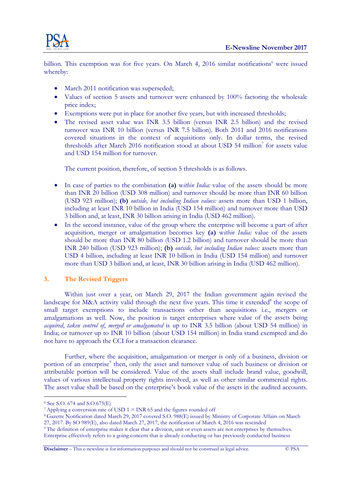

billion. This exemption was for five years. On March 4, 2016 similar notifications<sup>6</sup> were issued whereby:

- March 2011 notification was superseded;
- Values of section 5 assets and turnover were enhanced by 100% factoring the wholesale Values of section 5 assets and turnover were enhanced by 100% factoring the wholesale price index; <ul>\n<li>March 2011 notification was superseded;</li>\n<li>Values of section 5 assets and turnover were enhanced by 100% factoring the wholesale price index;</li>\n<li>Exemptions were put in place for another five years, but with increased thresholds;</li>\n<li> The revised asset value was INR 3.5 billion (versus INR 2.5 billion) and the revised</li>\n</ul>
- Exemptions were put in place for another five years, but with increased thresholds; Exemptions were put in place for another five years, but with increased thresholds;
- turnover was INR 10 billion (versus INR 7.5 billion). Both 2011 and 2016 notifications turnover was INR 10 billion (versus INR 7.5 billion). Both 2011 and 2016 notifications covered situations in the context of acquisitions only. In dollar terms, the revised covered situations in the context of acquisitions only. In dollar terms, the revised thresholds after March 2016 notification stood at about USD 54 million<sup>7</sup> for assets value and USD 154 million for turnover. thresholds after March 2016 notification stood at about USD 54 million<sup>7</sup> for assets v<br>and USD 154 million for turnover.<br>The current position, therefore, of section 5 thresholds is as follows.

- In case of parties to the combination (a) within India: value of the assets should be more than INR 20 billion (USD 308 million) and turnover should be more than INR 60 billion than INR 20 billion (USD 308 million) and turnover should be more than INR 60 billion (USD 923 million); (b) *outside, but including Indian values:* assets more than USD 1 billion, including at least INR 10 billion in India (USD 154 million) and turnover more than USD including at least INR 10 billion in India (USD 154 million) and turnover more than USD 3 billion and, at least, INR 30 billion arising in India (USD 462 million) In the second instance, value of the group where the enterprise will become a part of after In the second instance, value of the group where the enterprise will become a part of after
- acquisition, merger or amalgamation becomes key (a) within India: value of the assets should be more than INR 80 billion (USD 1.2 billion) and turnover should be more than INR 240 billion (USD 923 million); (b) *outside, but including Indian values:* assets more than USD 4 billion, including at least INR 10 billion in India (USD 154 million) and turnover more than USD 3 billion and, at least, INR 30 billion arising in India (USD 462 million).

# 3. The Revised Triggers Revised Triggers

 Within just over a year, on March 29, 2017 the Indian government again revised the Within just over a year, on March 29, 2017 the Indian government again revised the landscape for M&A activity valid through the next five years. This time it extended<sup>8</sup> the scope of small target exemptions to include transactions other than acquisitions i.e., mergers or Within just over a year, on March 29, 2017 the Indian government again revised the landscape for M&A activity valid through the next five years. This time it extended<sup>8</sup> the scope of small target exemptions to include tran acquired, taken control of, merged or amalgamated is up to INR 3.5 billion (about USD 54 million) in India; or turnover up to INR 10 billion (about USD 154 million) in India stand exempted and do not have to approach the CCI for a transaction clearance. rch 4, 2016 similar notifications<br>
e enhanced by 100% factoring t<br>
e years, but with increased thresh<br>
no (versus INR 2.5 billion) and 2016<br>
5.5 billion). Both 2011 and 2016<br>
issitions only. In dollar terms,<br>
od at about **ENEAR METALLY ASSES CONSULTER EXECUTIVE EXECUTIVE EXECUTIVE EXECUTIVE (EXECUTIVE THE CONSULTER CONSULTER THE CONSULTER CONSULTER CONSULTER CONSULTER CONSULTER CONSULTER CONSULTER CONSULTER CONSULTER CONSULTER CONSULTER C** 

Further, where the acquisition, amalgamation or merger is only of a business, division or portion of an enterprise<sup>9</sup> then, only the asset and turnover value of such business or division or attributable portion will be considered. Value of the assets shall include brand value, goodwill, attributable portion will be considered. Value of the assets shall include brand value, goodwill, values of various intellectual property rights involved, as well as other similar commercial rights. The asset value shall be based on the enterprise's book value of the assets in the audited accounts. then, only the asset and turnover value of such business or division or be considered. Value of the assets shall include brand value, goodwill, tual property rights involved, as well as other similar commercial rights.<br>aas The asset value shall be based on the enterprise's book value of the assets in the audited accounts.

<sup>-</sup>6 See S.O. 674 and S.O.675(E)

<sup>&</sup>lt;sup>7</sup>Applying a conversion rate of USD  $1 = \text{INR } 65$  and the figures rounded off

<sup>8</sup>Gazette Notification dated March 29, 2017 covered S.O. 988(E) issued by Ministry of Corporate Affairs on March Gazette Notification dated March 29, 2017 covered S.O. 988(E) issued by Ministry of Corporate Affairs on March 27, 2017. By SO 989(E), also dated March 27, 2017, the notification of March 4, 2016 was rescinded 27, 2017. By SO 989(E), also dated March 27, 2017, the notification of March 4, 2016 was rescinded <sup>7</sup> Applying a conversion rate of USD 1 = INR 65 and the figures rounded off<br><sup>8</sup> Gazette Notification dated March 29, 2017 covered S.O. 988(E) issued by Ministry of Corporate Affairs on March<br>27, 2017. By SO 989(E), also d

Enterprise effectively refers to a going concern that is already conducting or has previously conducted business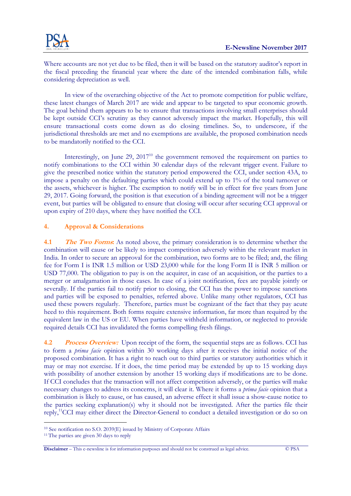

Where accounts are not yet due to be filed, then it will be based on the statutory Where accounts are not yet due to be filed, then it will be based on the statutory auditor's report in the fiscal preceding the financial year where the date of the intended combination falls, while the fiscal preceding the financial year where the date of the intended combination falls, while considering depreciation as well.

In view of the overarching objective of the Act to promote competition for public welfare, In view of the overarching objective of the Act to promote competition for public welfare, these latest changes of March 2017 are wide and appear to be targeted to spur economic growth. The goal behind them appears to be to ensure that transactions involving small enterprises should The goal behind them appears to be to ensure that transactions involving small enterprises should be kept outside CCI's scrutiny as they cannot adversely impact the market. H be kept outside CCI's scrutiny as they cannot adversely impact the market. Hopefully, this will ensure transactional costs come down as do closing timelines. So, to underscore, if the ensure transactional costs come down as do closing timelines. So, to underscore, if the jurisdictional thresholds are met and no exemptions are available, the proposed combination needs jurisdictional thresholds are met and no exemptions are available, the proposed combination needs to be mandatorily notified to the CCI. oal behind them appears to be to ensure that transactions involving small enterprises should<br>pt outside CCI's scrutiny as they cannot adversely impact the market. Hopefully, this will<br>e transactional costs come down as do

notify combinations to the CCI within 30 calendar days of the relevant trigger event. Failure to notify combinations to the CCI within 30 calendar days of the relevant trigger event. Failure to give the prescribed notice within the statutory period empowered the CCI, impose a penalty on the defaulting parties which could extend up to 1% of the total turnover or impose a penalty on the defaulting parties which could extend up to 1% of the total turnover or the assets, whichever is higher. The exemption to notify will be in effect for five years from June the assets, whichever is higher. The exemption to notify will be in effect for five years from June 29, 2017. Going forward, the position is that execution of a binding agreement will not be a trigger event, but parties will be obligated to ensure that closing will occur after securing CCI approval or upon expiry of 210 days, where they have notified the CCI. upon expiry of 210 days, where they have notified the CCI. ify combinations to the CCI within 30 calendar days of the relevant trigger event. Failure to the prescribed notice within the statutory period empowered the CCI, under section 43A, to ose a penalty on the defaulting parti under section 43A, to

# 4. Approval & Considerations &

4.1 The Two Forms: As noted above, the primary consideration is to determine whether the **4.1** The Two Forms: As noted above, the primary consideration is to determine whether the combination will cause or be likely to impact competition adversely within the relevant market in India. In order to secure an approval for the combination, two forms are to be filed; and, the filing fee for Form I is INR 1.5 million or USD 23,000 while for the long Form II is INR 5 million or 1.5 million or USD 23,000 while for the long Form II is INR 5 million or USD 77,000. The obligation to pay is on the acquirer, in case of an acquisition, or the parties to a USD 77,000. The obligation to pay is on the acquirer, in case of an acquisition, or the parties to a merger or amalgamation in those cases. In case of a joint notification, fees are payable jointly or severally. If the parties fail to notify prior to closing, the CCI has the power to impose sanctions severally. If the parties fail to notify prior to closing, the CCI has the power to impose sanctions and parties will be exposed to penalties, referred above . Unlike many other regulators, CCI has used these powers regularly. Therefore, parties must be cognizant of the fact that they pay acute<br>heed to this requirement. Both forms require extensive information, far more than required by the<br>equivalent law in the US o heed to this requirement. Both forms require extensive information, far more than required by the heed to this requirement. Both forms require extensive information, far more than required by the equivalent law in the US or EU. When parties have withheld information, or neglected to provide required details CCI has invalidated the forms compelling fresh filings. note are only at the high then it will be based on the standary independent<br>one standary increases of the change of public welfare increases of the changes of March 2017 are wide and appear to be tangeted to spare computin fee for Form I is INR 1.5 million or USD 23,000 while for the long Form II is INR 5 million or USD 77,000. The obligation to pay is on the acquirer, in case of an acquisition, or the parties to a merger or amalgamation in **Exhibitive Note that the state of the Constitute November 2017.**<br>
The state is constructed by the first of the Sub client with the based on the state of proposition is the first of the state of the state of the state of those cases. In case of a joint notification, fees are payable jointly or

required details CCI has invalidated the forms compelling fresh filings.<br>4.2 Process Overview: Upon receipt of the form, the sequential steps are as follows. CCI has to form a prima facie opinion within 30 working days after it receives the initial notice of the 30 working days after it receives the initial notice of the proposed combination. It has a right to reach out to third parties or statutory authorities which it may or may not exercise. If it does, the time period may be extended by up to 15 working days may or may not exercise. If it does, the time period may be extended by up to 15 working days with possibility of another extension by another 15 working days if modifications are to be done. with possibility of another extension by another 15 working days if modifications are to be done. may or may not exercise. If it does, the time period may be extended by up to 15 working days<br>with possibility of another extension by another 15 working days if modifications are to be done.<br>If CCI concludes that the tran necessary changes to address its concerns, it will clear it. Where it forms a *prima facie* opinion that a combination is likely to cause, or has caused, an adverse effect it shall issue a show-cause notice to the parties seeking explanation(s) why it should not be investigated. After the parties file their the parties seeking explanation(s) why it should not be investigated. After the parties file their the parties seeking explanation(s) why it should not be investigated. After the parties file their reply,<sup>11</sup>CCI may either direct the Director-General to conduct a detailed investigation or do so on

 $\overline{a}$ 

-

 $10$  See notification no S.O. 2039 $(E)$  issued by Ministry of Corporate Affairs

<sup>&</sup>lt;sup>11</sup>The parties are given 30 days to reply

**Disclaimer** – This e-newsline is for information purposes and should not be construed as legal advice. © PSA